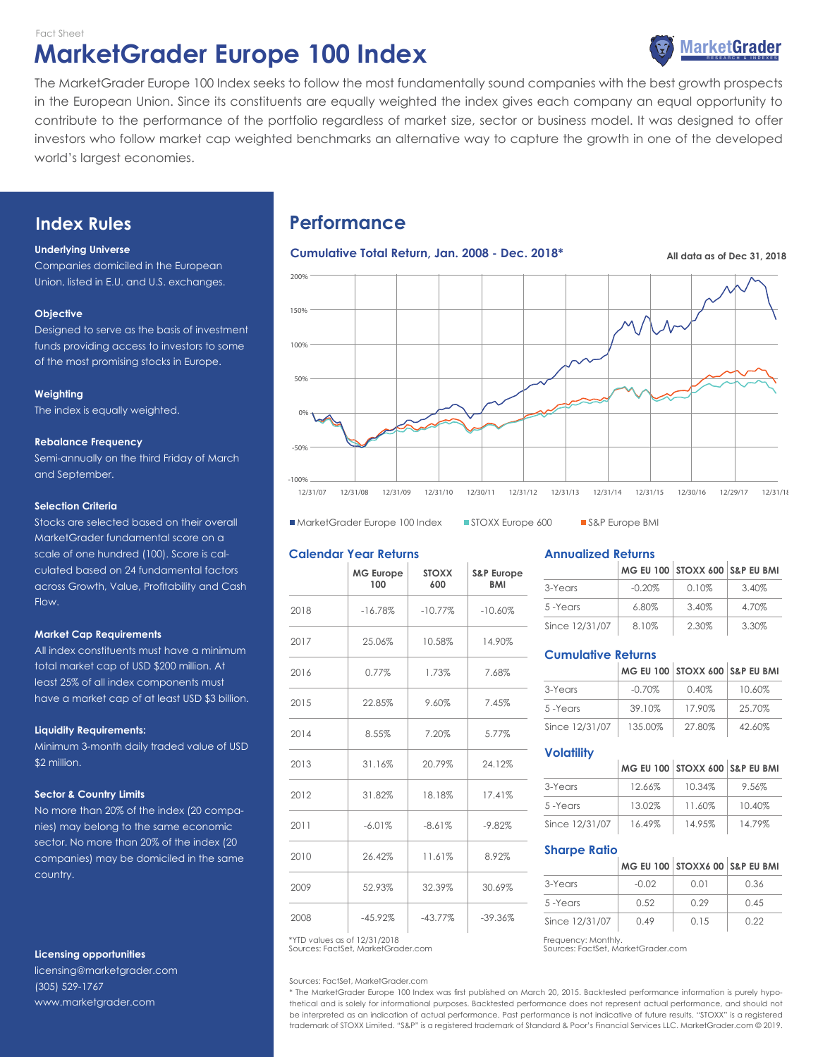Fact Sheet

# **MarketGrader Europe 100 Index**



The MarketGrader Europe 100 Index seeks to follow the most fundamentally sound companies with the best growth prospects in the European Union. Since its constituents are equally weighted the index gives each company an equal opportunity to contribute to the performance of the portfolio regardless of market size, sector or business model. It was designed to offer 5% investors who follow market cap weighted benchmarks an alternative way to capture the growth in one of the developed world's largest economies.

# **Index Rules**

# **Underlying Universe**

Companies domiciled in the European Union, listed in E.U. and U.S. exchanges.

## **Objective**

Designed to serve as the basis of investment funds providing access to investors to some of the most promising stocks in Europe.

## **Weighting**

The index is equally weighted.

## **Rebalance Frequency**

Semi-annually on the third Friday of March and September.

## **Selection Criteria**

Stocks are selected based on their overall MarketGrader fundamental score on a scale of one hundred (100). Score is calculated based on 24 fundamental factors across Growth, Value, Profitability and Cash Flow.

#### **Market Cap Requirements**

All index constituents must have a minimum total market cap of USD \$200 million. At least 25% of all index components must have a market cap of at least USD \$3 billion.

#### **Liquidity Requirements:**

Minimum 3-month daily traded value of USD \$2 million.

# **Sector & Country Limits**

No more than 20% of the index (20 companies) may belong to the same economic sector. No more than 20% of the index (20 companies) may be domiciled in the same country.

# **Licensing opportunities**

licensing@marketgrader.com (305) 529-1767 www.marketgrader.com

# **Performance**

# **Cumulative Total Return, Jan. 2008 - Dec. 2018\* All data as of Dec 31, 2018** Europe



■ MarketGrader Europe 100 Index ■ STOXX Europe 600 ■ S&P Europe BMI

# **Calendar Year Returns**

|      | <b>MG Europe</b><br>100 | <b>STOXX</b><br>600 | S&P Europe<br><b>BMI</b> |
|------|-------------------------|---------------------|--------------------------|
| 2018 | $-16.78%$               | $-10.77%$           | $-10.60%$                |
| 2017 | 25.06%                  | 10.58%              | 14.90%                   |
| 2016 | 0.77%                   | 1.73%               | 7.68%                    |
| 2015 | 22.85%                  | 9.60%               | 7.45%                    |
| 2014 | 8.55%                   | 7.20%               | 5.77%                    |
| 2013 | 31.16%                  | 20.79%              | 24.12%                   |
| 2012 | 31.82%                  | 18.18%              | 17.41%                   |
| 2011 | $-6.01%$                | $-8.61%$            | $-9.82%$                 |
| 2010 | 26.42%                  | 11.61%              | 8.92%                    |
| 2009 | 52.93%                  | 32.39%              | 30.69%                   |
| 2008 | $-45.92%$               | $-43.77%$           | $-39.36%$                |

Sources: FactSet, MarketGrader.com \*YTD values as of 12/31/2018 **Frequency: Monthly.** 

Sources: FactSet, MarketGrader.com

# **Annualized Returns**

|                |           | MG EU 100 STOXX 600 S&P EU BMI |       |
|----------------|-----------|--------------------------------|-------|
| 3-Years        | $-0.20\%$ | 0.10%                          | 3.40% |
| 5-Years        | 6.80%     | 3.40%                          | 4.70% |
| Since 12/31/07 | 8.10%     | 2.30%                          | 3.30% |

# **Cumulative Returns**

|                |           | MG EU 100 STOXX 600 S&P EU BMI |        |
|----------------|-----------|--------------------------------|--------|
| 3-Years        | $-0.70\%$ | 0.40%                          | 10.60% |
| 5-Years        | 39.10%    | 17.90%                         | 25.70% |
| Since 12/31/07 | 135.00%   | 27.80%                         | 42.60% |

# **Volatility**

|                |        | MG EU 100   STOXX 600   S&P EU BMI |        |
|----------------|--------|------------------------------------|--------|
| 3-Years        | 12.66% | 10.34%                             | 9.56%  |
| 5-Years        | 13.02% | 11.60%                             | 10.40% |
| Since 12/31/07 | 16.49% | 14.95%                             | 14.79% |

# **Sharpe Ratio**

|                |         | MG EU 100   STOXX6 00   S&P EU BMI |      |
|----------------|---------|------------------------------------|------|
| 3-Years        | $-0.02$ | 0.01                               | 0.36 |
| 5-Years        | 0.52    | 0.29                               | 0.45 |
| Since 12/31/07 | 0.49    | 0.15                               | 0.22 |

Sources: FactSet, MarketGrader.com

\* The MarketGrader Europe 100 Index was first published on March 20, 2015. Backtested performance information is purely hypothetical and is solely for informational purposes. Backtested performance does not represent actual performance, and should not be interpreted as an indication of actual performance. Past performance is not indicative of future results. "STOXX" is a registered trademark of STOXX Limited. "S&P" is a registered trademark of Standard & Poor's Financial Services LLC. MarketGrader.com © 2019.